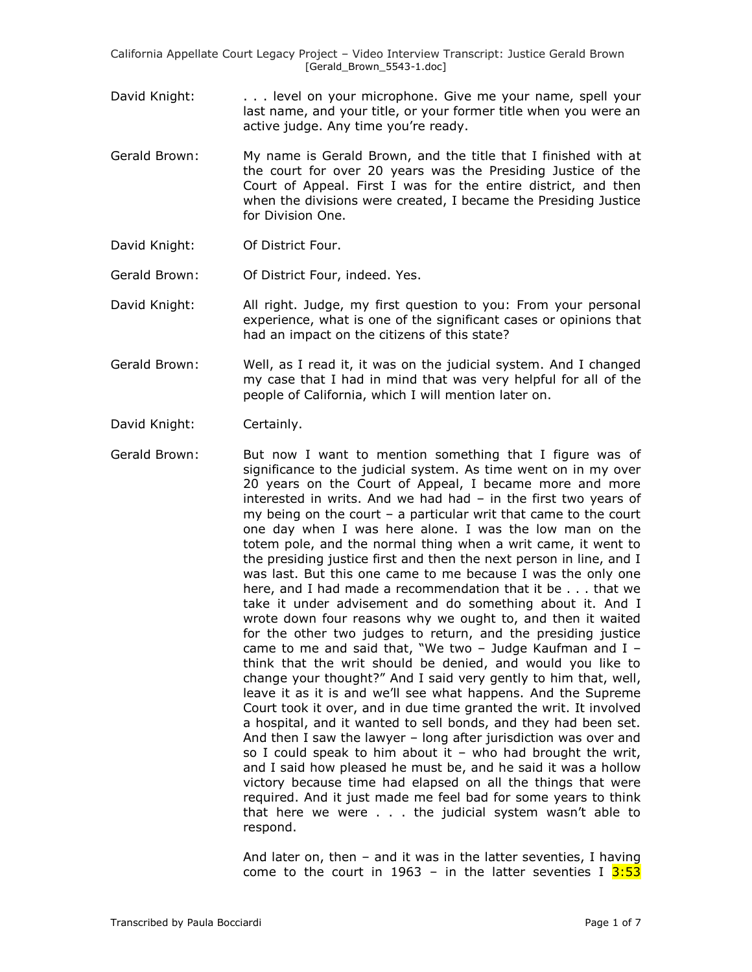California Appellate Court Legacy Project – Video Interview Transcript: Justice Gerald Brown [Gerald\_Brown\_5543-1.doc]

- David Knight: . . . . level on your microphone. Give me your name, spell your last name, and your title, or your former title when you were an active judge. Any time you're ready.
- Gerald Brown: My name is Gerald Brown, and the title that I finished with at the court for over 20 years was the Presiding Justice of the Court of Appeal. First I was for the entire district, and then when the divisions were created, I became the Presiding Justice for Division One.
- David Knight: Of District Four.
- Gerald Brown: Of District Four, indeed. Yes.
- David Knight: All right. Judge, my first question to you: From your personal experience, what is one of the significant cases or opinions that had an impact on the citizens of this state?
- Gerald Brown: Well, as I read it, it was on the judicial system. And I changed my case that I had in mind that was very helpful for all of the people of California, which I will mention later on.
- David Knight: Certainly.
- Gerald Brown: But now I want to mention something that I figure was of significance to the judicial system. As time went on in my over 20 years on the Court of Appeal, I became more and more interested in writs. And we had had – in the first two years of my being on the court – a particular writ that came to the court one day when I was here alone. I was the low man on the totem pole, and the normal thing when a writ came, it went to the presiding justice first and then the next person in line, and I was last. But this one came to me because I was the only one here, and I had made a recommendation that it be . . . that we take it under advisement and do something about it. And I wrote down four reasons why we ought to, and then it waited for the other two judges to return, and the presiding justice came to me and said that, "We two – Judge Kaufman and I – think that the writ should be denied, and would you like to change your thought?" And I said very gently to him that, well, leave it as it is and we"ll see what happens. And the Supreme Court took it over, and in due time granted the writ. It involved a hospital, and it wanted to sell bonds, and they had been set. And then I saw the lawyer – long after jurisdiction was over and so I could speak to him about it – who had brought the writ, and I said how pleased he must be, and he said it was a hollow victory because time had elapsed on all the things that were required. And it just made me feel bad for some years to think that here we were . . . the judicial system wasn"t able to respond.

And later on, then – and it was in the latter seventies, I having come to the court in 1963 – in the latter seventies I  $3:53$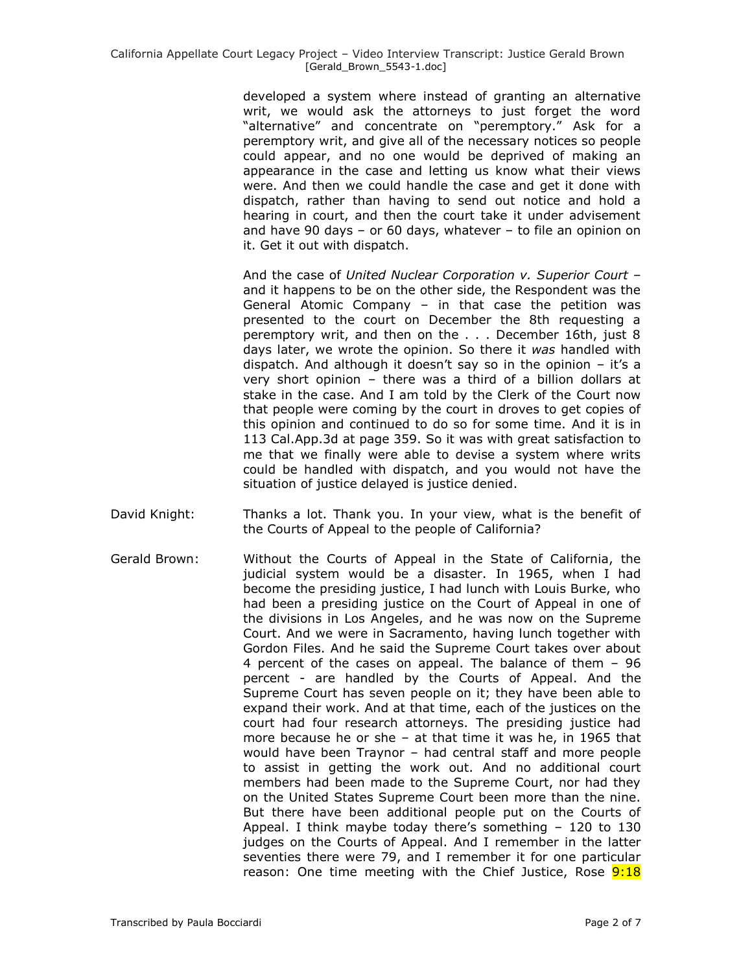developed a system where instead of granting an alternative writ, we would ask the attorneys to just forget the word "alternative" and concentrate on "peremptory." Ask for a peremptory writ, and give all of the necessary notices so people could appear, and no one would be deprived of making an appearance in the case and letting us know what their views were. And then we could handle the case and get it done with dispatch, rather than having to send out notice and hold a hearing in court, and then the court take it under advisement and have 90 days – or 60 days, whatever – to file an opinion on it. Get it out with dispatch.

And the case of *United Nuclear Corporation v. Superior Court* – and it happens to be on the other side, the Respondent was the General Atomic Company – in that case the petition was presented to the court on December the 8th requesting a peremptory writ, and then on the . . . December 16th, just 8 days later, we wrote the opinion. So there it *was* handled with dispatch. And although it doesn't say so in the opinion  $-$  it's a very short opinion – there was a third of a billion dollars at stake in the case. And I am told by the Clerk of the Court now that people were coming by the court in droves to get copies of this opinion and continued to do so for some time. And it is in 113 Cal.App.3d at page 359. So it was with great satisfaction to me that we finally were able to devise a system where writs could be handled with dispatch, and you would not have the situation of justice delayed is justice denied.

- David Knight: Thanks a lot. Thank you. In your view, what is the benefit of the Courts of Appeal to the people of California?
- Gerald Brown: Without the Courts of Appeal in the State of California, the judicial system would be a disaster. In 1965, when I had become the presiding justice, I had lunch with Louis Burke, who had been a presiding justice on the Court of Appeal in one of the divisions in Los Angeles, and he was now on the Supreme Court. And we were in Sacramento, having lunch together with Gordon Files. And he said the Supreme Court takes over about 4 percent of the cases on appeal. The balance of them – 96 percent - are handled by the Courts of Appeal. And the Supreme Court has seven people on it; they have been able to expand their work. And at that time, each of the justices on the court had four research attorneys. The presiding justice had more because he or she – at that time it was he, in 1965 that would have been Traynor – had central staff and more people to assist in getting the work out. And no additional court members had been made to the Supreme Court, nor had they on the United States Supreme Court been more than the nine. But there have been additional people put on the Courts of Appeal. I think maybe today there"s something – 120 to 130 judges on the Courts of Appeal. And I remember in the latter seventies there were 79, and I remember it for one particular reason: One time meeting with the Chief Justice, Rose 9:18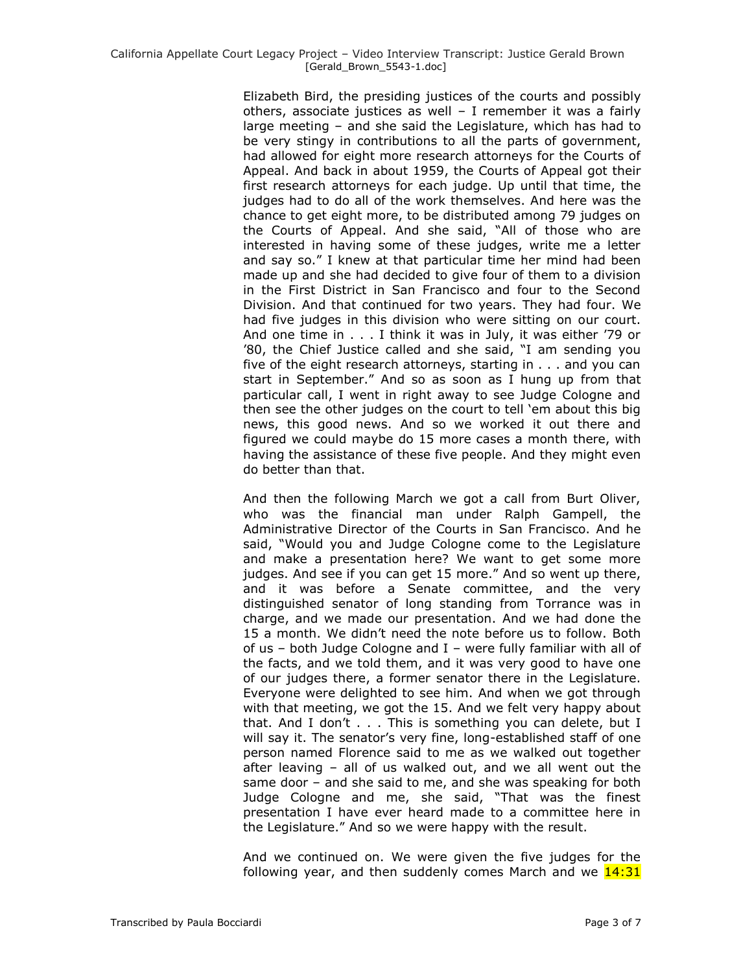Elizabeth Bird, the presiding justices of the courts and possibly others, associate justices as well – I remember it was a fairly large meeting – and she said the Legislature, which has had to be very stingy in contributions to all the parts of government, had allowed for eight more research attorneys for the Courts of Appeal. And back in about 1959, the Courts of Appeal got their first research attorneys for each judge. Up until that time, the judges had to do all of the work themselves. And here was the chance to get eight more, to be distributed among 79 judges on the Courts of Appeal. And she said, "All of those who are interested in having some of these judges, write me a letter and say so." I knew at that particular time her mind had been made up and she had decided to give four of them to a division in the First District in San Francisco and four to the Second Division. And that continued for two years. They had four. We had five judges in this division who were sitting on our court. And one time in . . . I think it was in July, it was either "79 or '80, the Chief Justice called and she said, "I am sending you five of the eight research attorneys, starting in . . . and you can start in September." And so as soon as I hung up from that particular call, I went in right away to see Judge Cologne and then see the other judges on the court to tell "em about this big news, this good news. And so we worked it out there and figured we could maybe do 15 more cases a month there, with having the assistance of these five people. And they might even do better than that.

And then the following March we got a call from Burt Oliver, who was the financial man under Ralph Gampell, the Administrative Director of the Courts in San Francisco. And he said, "Would you and Judge Cologne come to the Legislature and make a presentation here? We want to get some more judges. And see if you can get 15 more." And so went up there, and it was before a Senate committee, and the very distinguished senator of long standing from Torrance was in charge, and we made our presentation. And we had done the 15 a month. We didn"t need the note before us to follow. Both of us  $-$  both Judge Cologne and I  $-$  were fully familiar with all of the facts, and we told them, and it was very good to have one of our judges there, a former senator there in the Legislature. Everyone were delighted to see him. And when we got through with that meeting, we got the 15. And we felt very happy about that. And I don't . . . This is something you can delete, but I will say it. The senator's very fine, long-established staff of one person named Florence said to me as we walked out together after leaving – all of us walked out, and we all went out the same door – and she said to me, and she was speaking for both Judge Cologne and me, she said, "That was the finest presentation I have ever heard made to a committee here in the Legislature." And so we were happy with the result.

And we continued on. We were given the five judges for the following year, and then suddenly comes March and we  $14:31$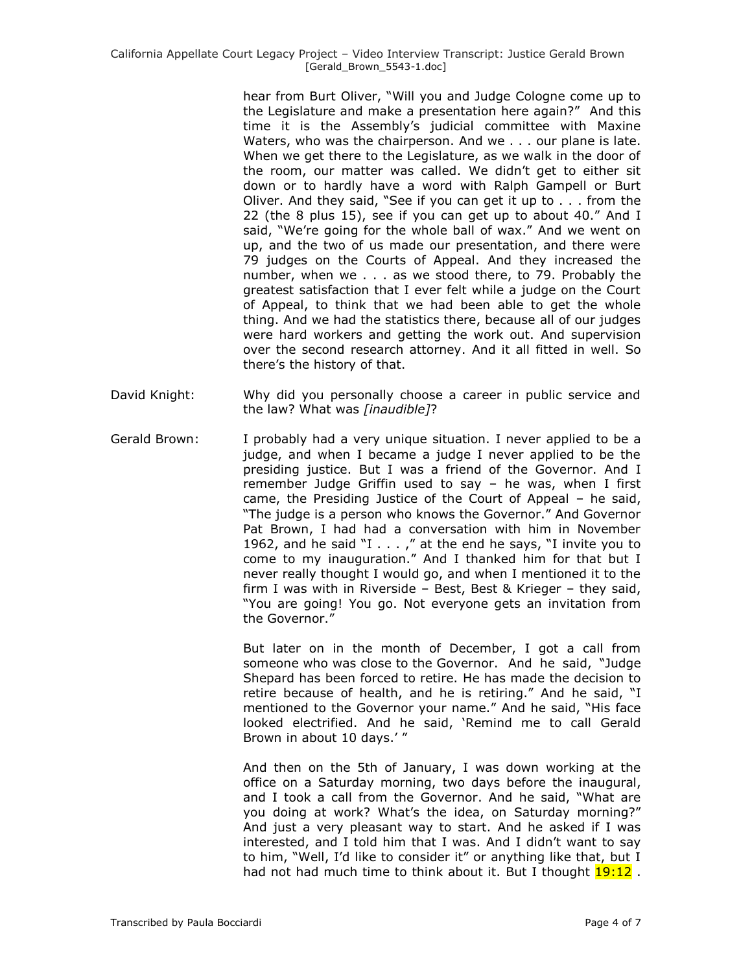hear from Burt Oliver, "Will you and Judge Cologne come up to the Legislature and make a presentation here again?" And this time it is the Assembly"s judicial committee with Maxine Waters, who was the chairperson. And we . . . our plane is late. When we get there to the Legislature, as we walk in the door of the room, our matter was called. We didn"t get to either sit down or to hardly have a word with Ralph Gampell or Burt Oliver. And they said, "See if you can get it up to . . . from the 22 (the 8 plus 15), see if you can get up to about 40." And I said, "We're going for the whole ball of wax." And we went on up, and the two of us made our presentation, and there were 79 judges on the Courts of Appeal. And they increased the number, when we . . . as we stood there, to 79. Probably the greatest satisfaction that I ever felt while a judge on the Court of Appeal, to think that we had been able to get the whole thing. And we had the statistics there, because all of our judges were hard workers and getting the work out. And supervision over the second research attorney. And it all fitted in well. So there"s the history of that.

- David Knight: Why did you personally choose a career in public service and the law? What was *[inaudible]*?
- Gerald Brown: I probably had a very unique situation. I never applied to be a judge, and when I became a judge I never applied to be the presiding justice. But I was a friend of the Governor. And I remember Judge Griffin used to say – he was, when I first came, the Presiding Justice of the Court of Appeal – he said, "The judge is a person who knows the Governor." And Governor Pat Brown, I had had a conversation with him in November 1962, and he said "I . . . ," at the end he says, "I invite you to come to my inauguration." And I thanked him for that but I never really thought I would go, and when I mentioned it to the firm I was with in Riverside – Best, Best & Krieger – they said, "You are going! You go. Not everyone gets an invitation from the Governor."

But later on in the month of December, I got a call from someone who was close to the Governor. And he said, "Judge Shepard has been forced to retire. He has made the decision to retire because of health, and he is retiring." And he said, "I mentioned to the Governor your name." And he said, "His face looked electrified. And he said, "Remind me to call Gerald Brown in about 10 days.'"

And then on the 5th of January, I was down working at the office on a Saturday morning, two days before the inaugural, and I took a call from the Governor. And he said, "What are you doing at work? What's the idea, on Saturday morning?" And just a very pleasant way to start. And he asked if I was interested, and I told him that I was. And I didn"t want to say to him, "Well, I"d like to consider it" or anything like that, but I had not had much time to think about it. But I thought  $19:12$ .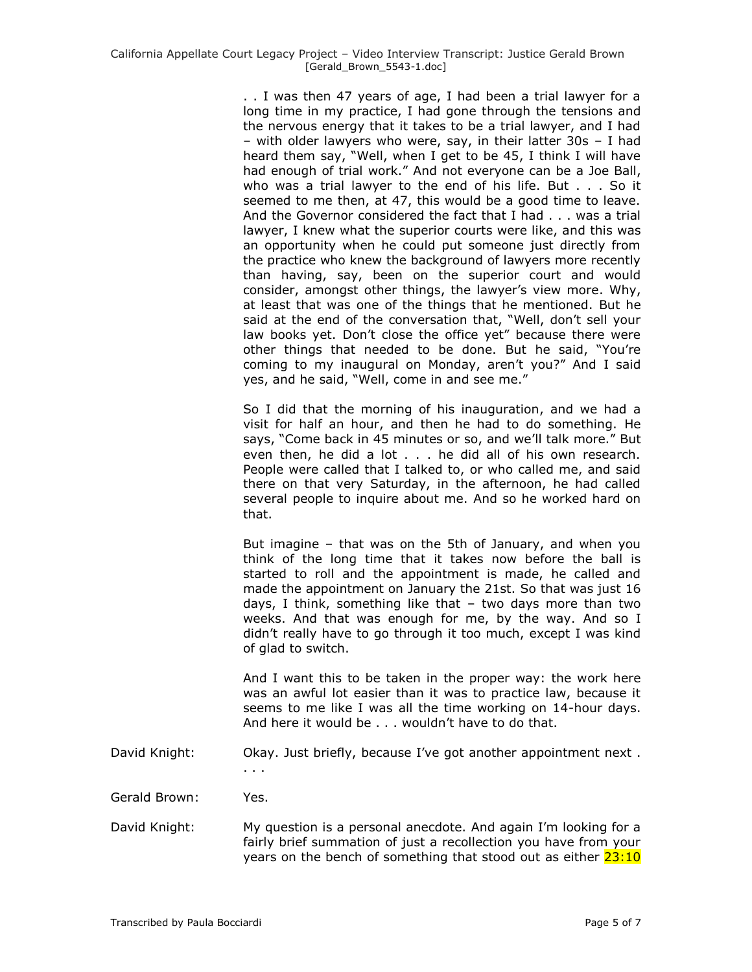. . I was then 47 years of age, I had been a trial lawyer for a long time in my practice, I had gone through the tensions and the nervous energy that it takes to be a trial lawyer, and I had – with older lawyers who were, say, in their latter 30s – I had heard them say, "Well, when I get to be 45, I think I will have had enough of trial work." And not everyone can be a Joe Ball, who was a trial lawyer to the end of his life. But . . . So it seemed to me then, at 47, this would be a good time to leave. And the Governor considered the fact that I had . . . was a trial lawyer, I knew what the superior courts were like, and this was an opportunity when he could put someone just directly from the practice who knew the background of lawyers more recently than having, say, been on the superior court and would consider, amongst other things, the lawyer's view more. Why, at least that was one of the things that he mentioned. But he said at the end of the conversation that, "Well, don't sell your law books yet. Don't close the office yet" because there were other things that needed to be done. But he said, "You"re coming to my inaugural on Monday, aren't you?" And I said yes, and he said, "Well, come in and see me."

So I did that the morning of his inauguration, and we had a visit for half an hour, and then he had to do something. He says, "Come back in 45 minutes or so, and we"ll talk more." But even then, he did a lot . . . he did all of his own research. People were called that I talked to, or who called me, and said there on that very Saturday, in the afternoon, he had called several people to inquire about me. And so he worked hard on that.

But imagine – that was on the 5th of January, and when you think of the long time that it takes now before the ball is started to roll and the appointment is made, he called and made the appointment on January the 21st. So that was just 16 days, I think, something like that – two days more than two weeks. And that was enough for me, by the way. And so I didn"t really have to go through it too much, except I was kind of glad to switch.

And I want this to be taken in the proper way: the work here was an awful lot easier than it was to practice law, because it seems to me like I was all the time working on 14-hour days. And here it would be . . . wouldn"t have to do that.

David Knight: Okay. Just briefly, because I've got another appointment next. . . .

Gerald Brown: Yes.

David Knight: My question is a personal anecdote. And again I"m looking for a fairly brief summation of just a recollection you have from your years on the bench of something that stood out as either 23:10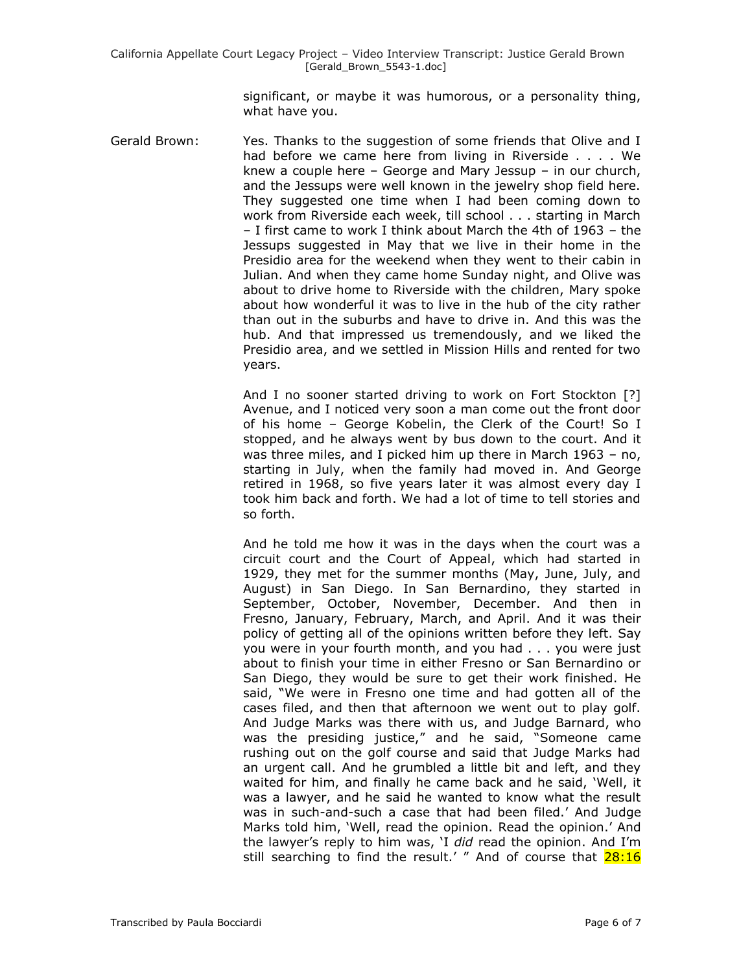significant, or maybe it was humorous, or a personality thing, what have you.

Gerald Brown: Yes. Thanks to the suggestion of some friends that Olive and I had before we came here from living in Riverside . . . . We knew a couple here – George and Mary Jessup – in our church, and the Jessups were well known in the jewelry shop field here. They suggested one time when I had been coming down to work from Riverside each week, till school . . . starting in March – I first came to work I think about March the 4th of 1963 – the Jessups suggested in May that we live in their home in the Presidio area for the weekend when they went to their cabin in Julian. And when they came home Sunday night, and Olive was about to drive home to Riverside with the children, Mary spoke about how wonderful it was to live in the hub of the city rather than out in the suburbs and have to drive in. And this was the hub. And that impressed us tremendously, and we liked the Presidio area, and we settled in Mission Hills and rented for two years.

> And I no sooner started driving to work on Fort Stockton [?] Avenue, and I noticed very soon a man come out the front door of his home – George Kobelin, the Clerk of the Court! So I stopped, and he always went by bus down to the court. And it was three miles, and I picked him up there in March 1963 – no, starting in July, when the family had moved in. And George retired in 1968, so five years later it was almost every day I took him back and forth. We had a lot of time to tell stories and so forth.

> And he told me how it was in the days when the court was a circuit court and the Court of Appeal, which had started in 1929, they met for the summer months (May, June, July, and August) in San Diego. In San Bernardino, they started in September, October, November, December. And then in Fresno, January, February, March, and April. And it was their policy of getting all of the opinions written before they left. Say you were in your fourth month, and you had . . . you were just about to finish your time in either Fresno or San Bernardino or San Diego, they would be sure to get their work finished. He said, "We were in Fresno one time and had gotten all of the cases filed, and then that afternoon we went out to play golf. And Judge Marks was there with us, and Judge Barnard, who was the presiding justice," and he said, "Someone came rushing out on the golf course and said that Judge Marks had an urgent call. And he grumbled a little bit and left, and they waited for him, and finally he came back and he said, "Well, it was a lawyer, and he said he wanted to know what the result was in such-and-such a case that had been filed." And Judge Marks told him, "Well, read the opinion. Read the opinion." And the lawyer"s reply to him was, "I *did* read the opinion. And I"m still searching to find the result.' " And of course that 28:16